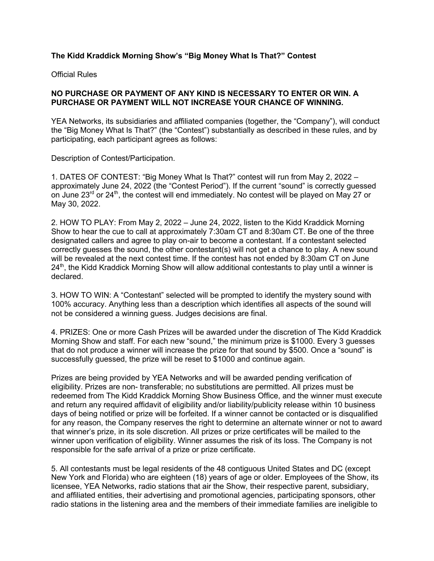## **The Kidd Kraddick Morning Show's "Big Money What Is That?" Contest**

Official Rules

## **NO PURCHASE OR PAYMENT OF ANY KIND IS NECESSARY TO ENTER OR WIN. A PURCHASE OR PAYMENT WILL NOT INCREASE YOUR CHANCE OF WINNING.**

YEA Networks, its subsidiaries and affiliated companies (together, the "Company"), will conduct the "Big Money What Is That?" (the "Contest") substantially as described in these rules, and by participating, each participant agrees as follows:

Description of Contest/Participation.

1. DATES OF CONTEST: "Big Money What Is That?" contest will run from May 2, 2022 – approximately June 24, 2022 (the "Contest Period"). If the current "sound" is correctly guessed on June 23<sup>rd</sup> or 24<sup>th</sup>, the contest will end immediately. No contest will be played on May 27 or May 30, 2022.

2. HOW TO PLAY: From May 2, 2022 – June 24, 2022, listen to the Kidd Kraddick Morning Show to hear the cue to call at approximately 7:30am CT and 8:30am CT. Be one of the three designated callers and agree to play on-air to become a contestant. If a contestant selected correctly guesses the sound, the other contestant(s) will not get a chance to play. A new sound will be revealed at the next contest time. If the contest has not ended by 8:30am CT on June 24<sup>th</sup>, the Kidd Kraddick Morning Show will allow additional contestants to play until a winner is declared.

3. HOW TO WIN: A "Contestant" selected will be prompted to identify the mystery sound with 100% accuracy. Anything less than a description which identifies all aspects of the sound will not be considered a winning guess. Judges decisions are final.

4. PRIZES: One or more Cash Prizes will be awarded under the discretion of The Kidd Kraddick Morning Show and staff. For each new "sound," the minimum prize is \$1000. Every 3 guesses that do not produce a winner will increase the prize for that sound by \$500. Once a "sound" is successfully guessed, the prize will be reset to \$1000 and continue again.

Prizes are being provided by YEA Networks and will be awarded pending verification of eligibility. Prizes are non- transferable; no substitutions are permitted. All prizes must be redeemed from The Kidd Kraddick Morning Show Business Office, and the winner must execute and return any required affidavit of eligibility and/or liability/publicity release within 10 business days of being notified or prize will be forfeited. If a winner cannot be contacted or is disqualified for any reason, the Company reserves the right to determine an alternate winner or not to award that winner's prize, in its sole discretion. All prizes or prize certificates will be mailed to the winner upon verification of eligibility. Winner assumes the risk of its loss. The Company is not responsible for the safe arrival of a prize or prize certificate.

5. All contestants must be legal residents of the 48 contiguous United States and DC (except New York and Florida) who are eighteen (18) years of age or older. Employees of the Show, its licensee, YEA Networks, radio stations that air the Show, their respective parent, subsidiary, and affiliated entities, their advertising and promotional agencies, participating sponsors, other radio stations in the listening area and the members of their immediate families are ineligible to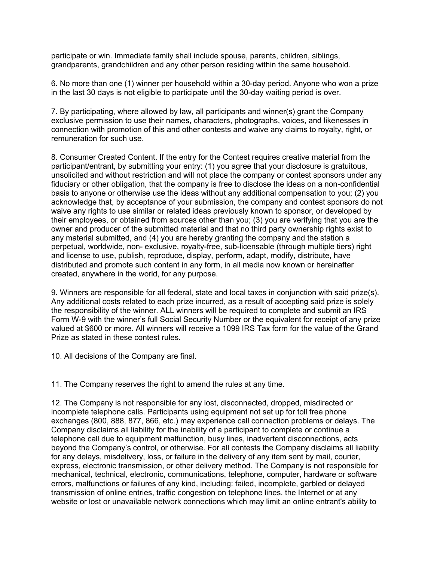participate or win. Immediate family shall include spouse, parents, children, siblings, grandparents, grandchildren and any other person residing within the same household.

6. No more than one (1) winner per household within a 30-day period. Anyone who won a prize in the last 30 days is not eligible to participate until the 30-day waiting period is over.

7. By participating, where allowed by law, all participants and winner(s) grant the Company exclusive permission to use their names, characters, photographs, voices, and likenesses in connection with promotion of this and other contests and waive any claims to royalty, right, or remuneration for such use.

8. Consumer Created Content. If the entry for the Contest requires creative material from the participant/entrant, by submitting your entry: (1) you agree that your disclosure is gratuitous, unsolicited and without restriction and will not place the company or contest sponsors under any fiduciary or other obligation, that the company is free to disclose the ideas on a non-confidential basis to anyone or otherwise use the ideas without any additional compensation to you; (2) you acknowledge that, by acceptance of your submission, the company and contest sponsors do not waive any rights to use similar or related ideas previously known to sponsor, or developed by their employees, or obtained from sources other than you; (3) you are verifying that you are the owner and producer of the submitted material and that no third party ownership rights exist to any material submitted, and (4) you are hereby granting the company and the station a perpetual, worldwide, non- exclusive, royalty-free, sub-licensable (through multiple tiers) right and license to use, publish, reproduce, display, perform, adapt, modify, distribute, have distributed and promote such content in any form, in all media now known or hereinafter created, anywhere in the world, for any purpose.

9. Winners are responsible for all federal, state and local taxes in conjunction with said prize(s). Any additional costs related to each prize incurred, as a result of accepting said prize is solely the responsibility of the winner. ALL winners will be required to complete and submit an IRS Form W-9 with the winner's full Social Security Number or the equivalent for receipt of any prize valued at \$600 or more. All winners will receive a 1099 IRS Tax form for the value of the Grand Prize as stated in these contest rules.

10. All decisions of the Company are final.

11. The Company reserves the right to amend the rules at any time.

12. The Company is not responsible for any lost, disconnected, dropped, misdirected or incomplete telephone calls. Participants using equipment not set up for toll free phone exchanges (800, 888, 877, 866, etc.) may experience call connection problems or delays. The Company disclaims all liability for the inability of a participant to complete or continue a telephone call due to equipment malfunction, busy lines, inadvertent disconnections, acts beyond the Company's control, or otherwise. For all contests the Company disclaims all liability for any delays, misdelivery, loss, or failure in the delivery of any item sent by mail, courier, express, electronic transmission, or other delivery method. The Company is not responsible for mechanical, technical, electronic, communications, telephone, computer, hardware or software errors, malfunctions or failures of any kind, including: failed, incomplete, garbled or delayed transmission of online entries, traffic congestion on telephone lines, the Internet or at any website or lost or unavailable network connections which may limit an online entrant's ability to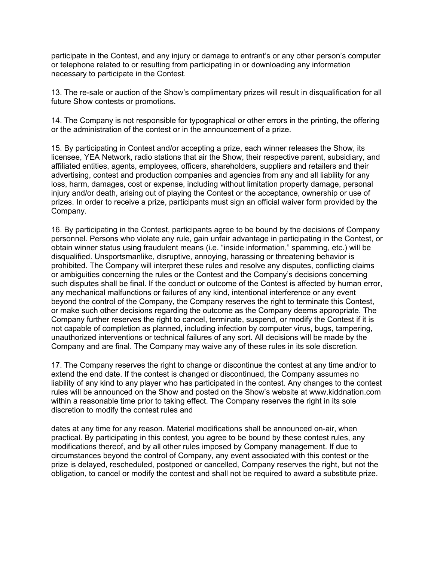participate in the Contest, and any injury or damage to entrant's or any other person's computer or telephone related to or resulting from participating in or downloading any information necessary to participate in the Contest.

13. The re-sale or auction of the Show's complimentary prizes will result in disqualification for all future Show contests or promotions.

14. The Company is not responsible for typographical or other errors in the printing, the offering or the administration of the contest or in the announcement of a prize.

15. By participating in Contest and/or accepting a prize, each winner releases the Show, its licensee, YEA Network, radio stations that air the Show, their respective parent, subsidiary, and affiliated entities, agents, employees, officers, shareholders, suppliers and retailers and their advertising, contest and production companies and agencies from any and all liability for any loss, harm, damages, cost or expense, including without limitation property damage, personal injury and/or death, arising out of playing the Contest or the acceptance, ownership or use of prizes. In order to receive a prize, participants must sign an official waiver form provided by the Company.

16. By participating in the Contest, participants agree to be bound by the decisions of Company personnel. Persons who violate any rule, gain unfair advantage in participating in the Contest, or obtain winner status using fraudulent means (i.e. "inside information," spamming, etc.) will be disqualified. Unsportsmanlike, disruptive, annoying, harassing or threatening behavior is prohibited. The Company will interpret these rules and resolve any disputes, conflicting claims or ambiguities concerning the rules or the Contest and the Company's decisions concerning such disputes shall be final. If the conduct or outcome of the Contest is affected by human error, any mechanical malfunctions or failures of any kind, intentional interference or any event beyond the control of the Company, the Company reserves the right to terminate this Contest, or make such other decisions regarding the outcome as the Company deems appropriate. The Company further reserves the right to cancel, terminate, suspend, or modify the Contest if it is not capable of completion as planned, including infection by computer virus, bugs, tampering, unauthorized interventions or technical failures of any sort. All decisions will be made by the Company and are final. The Company may waive any of these rules in its sole discretion.

17. The Company reserves the right to change or discontinue the contest at any time and/or to extend the end date. If the contest is changed or discontinued, the Company assumes no liability of any kind to any player who has participated in the contest. Any changes to the contest rules will be announced on the Show and posted on the Show's website at www.kiddnation.com within a reasonable time prior to taking effect. The Company reserves the right in its sole discretion to modify the contest rules and

dates at any time for any reason. Material modifications shall be announced on-air, when practical. By participating in this contest, you agree to be bound by these contest rules, any modifications thereof, and by all other rules imposed by Company management. If due to circumstances beyond the control of Company, any event associated with this contest or the prize is delayed, rescheduled, postponed or cancelled, Company reserves the right, but not the obligation, to cancel or modify the contest and shall not be required to award a substitute prize.